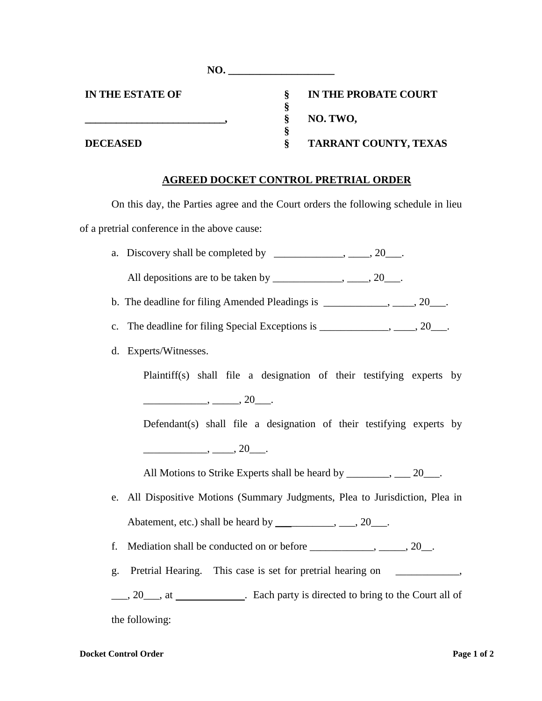| NO.                     |                       |
|-------------------------|-----------------------|
| <b>IN THE ESTATE OF</b> | IN THE PROBATE COURT  |
|                         | NO. TWO,              |
| <b>DECEASED</b>         | TARRANT COUNTY, TEXAS |

## **AGREED DOCKET CONTROL PRETRIAL ORDER**

On this day, the Parties agree and the Court orders the following schedule in lieu of a pretrial conference in the above cause:

| a. Discovery shall be completed by $\qquad \qquad \ldots, \qquad 20 \ldots$                                                 |
|-----------------------------------------------------------------------------------------------------------------------------|
| All depositions are to be taken by _______________, _____, 20___.                                                           |
|                                                                                                                             |
| c.                                                                                                                          |
| Experts/Witnesses.<br>d.                                                                                                    |
| Plaintiff(s) shall file a designation of their testifying experts by                                                        |
| $\frac{1}{\sqrt{2}}$ , $\frac{1}{\sqrt{2}}$ , $\frac{1}{\sqrt{2}}$ , $\frac{1}{\sqrt{2}}$                                   |
| Defendant(s) shall file a designation of their testifying experts by                                                        |
| $\frac{\phantom{aaaa}}{\phantom{aaaa}}$ , $\frac{\phantom{aaaa}}{\phantom{aaaa}}$ , $\frac{\phantom{aaaa}}{\phantom{aaaa}}$ |
| All Motions to Strike Experts shall be heard by _______, ___ 20___.                                                         |
| All Dispositive Motions (Summary Judgments, Plea to Jurisdiction, Plea in<br>e.                                             |
| Abatement, etc.) shall be heard by ____________, ___, 20___.                                                                |
| f.                                                                                                                          |
| Pretrial Hearing. This case is set for pretrial hearing on ______________,<br>g.                                            |
|                                                                                                                             |
| ___, 20___, at ________________. Each party is directed to bring to the Court all of                                        |